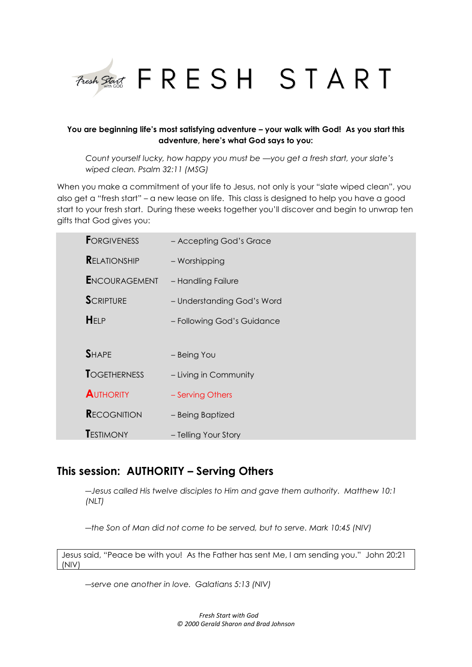

# **You are beginning life's most satisfying adventure – your walk with God! As you start this adventure, here's what God says to you:**

*Count yourself lucky, how happy you must be —you get a fresh start, your slate's wiped clean. Psalm 32:11 (MSG)*

When you make a commitment of your life to Jesus, not only is your "slate wiped clean", you also get a "fresh start" – a new lease on life. This class is designed to help you have a good start to your fresh start. During these weeks together you'll discover and begin to unwrap ten gifts that God gives you:

| <b>FORGIVENESS</b>   | - Accepting God's Grace    |
|----------------------|----------------------------|
| <b>RELATIONSHIP</b>  | - Worshipping              |
| <b>ENCOURAGEMENT</b> | - Handling Failure         |
| <b>SCRIPTURE</b>     | - Understanding God's Word |
| HELP                 | - Following God's Guidance |
|                      |                            |
| <b>SHAPE</b>         | - Being You                |
| <b>TOGETHERNESS</b>  | - Living in Community      |
| <b>AUTHORITY</b>     | - Serving Others           |
| <b>RECOGNITION</b>   | - Being Baptized           |
| <b>TESTIMONY</b>     | - Telling Your Story       |

# **This session: AUTHORITY – Serving Others**

*―Jesus called His twelve disciples to Him and gave them authority. Matthew 10:1 (NLT)*

*―the Son of Man did not come to be served, but to serve. Mark 10:45 (NIV)*

Jesus said, "Peace be with you! As the Father has sent Me, I am sending you." John 20:21 (NIV)

*―serve one another in love. Galatians 5:13 (NIV)*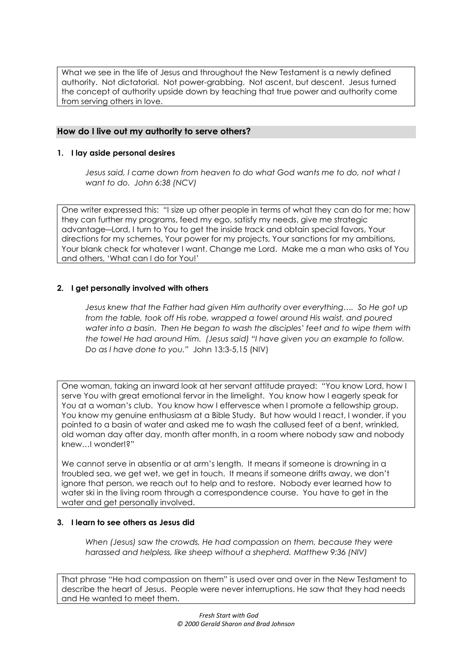What we see in the life of Jesus and throughout the New Testament is a newly defined authority. Not dictatorial. Not power-grabbing. Not ascent, but descent. Jesus turned the concept of authority upside down by teaching that true power and authority come from serving others in love.

# **How do I live out my authority to serve others?**

## **1. I lay aside personal desires**

*Jesus said, I came down from heaven to do what God wants me to do, not what I want to do. John 6:38 (NCV)*

One writer expressed this: "I size up other people in terms of what they can do for me; how they can further my programs, feed my ego, satisfy my needs, give me strategic advantage―Lord, I turn to You to get the inside track and obtain special favors, Your directions for my schemes, Your power for my projects, Your sanctions for my ambitions, Your blank check for whatever I want. Change me Lord. Make me a man who asks of You and others, 'What can I do for You!'

## **2. I get personally involved with others**

*Jesus knew that the Father had given Him authority over everything…. So He got up from the table, took off His robe, wrapped a towel around His waist, and poured water into a basin. Then He began to wash the disciples' feet and to wipe them with the towel He had around Him. (Jesus said) "I have given you an example to follow. Do as I have done to you."* John 13:3-5,15 (NIV)

One woman, taking an inward look at her servant attitude prayed: "You know Lord, how I serve You with great emotional fervor in the limelight. You know how I eagerly speak for You at a woman's club. You know how I effervesce when I promote a fellowship group. You know my genuine enthusiasm at a Bible Study. But how would I react, I wonder, if you pointed to a basin of water and asked me to wash the callused feet of a bent, wrinkled, old woman day after day, month after month, in a room where nobody saw and nobody knew…I wonder!?"

We cannot serve in absentia or at arm's length. It means if someone is drowning in a troubled sea, we get wet, we get in touch. It means if someone drifts away, we don't ignore that person, we reach out to help and to restore. Nobody ever learned how to water ski in the living room through a correspondence course. You have to get in the water and get personally involved.

#### **3. I learn to see others as Jesus did**

*When (Jesus) saw the crowds, He had compassion on them, because they were harassed and helpless, like sheep without a shepherd. Matthew 9:36 (NIV)*

That phrase "He had compassion on them" is used over and over in the New Testament to describe the heart of Jesus. People were never interruptions. He saw that they had needs and He wanted to meet them.

> *Fresh Start with God © 2000 Gerald Sharon and Brad Johnson*